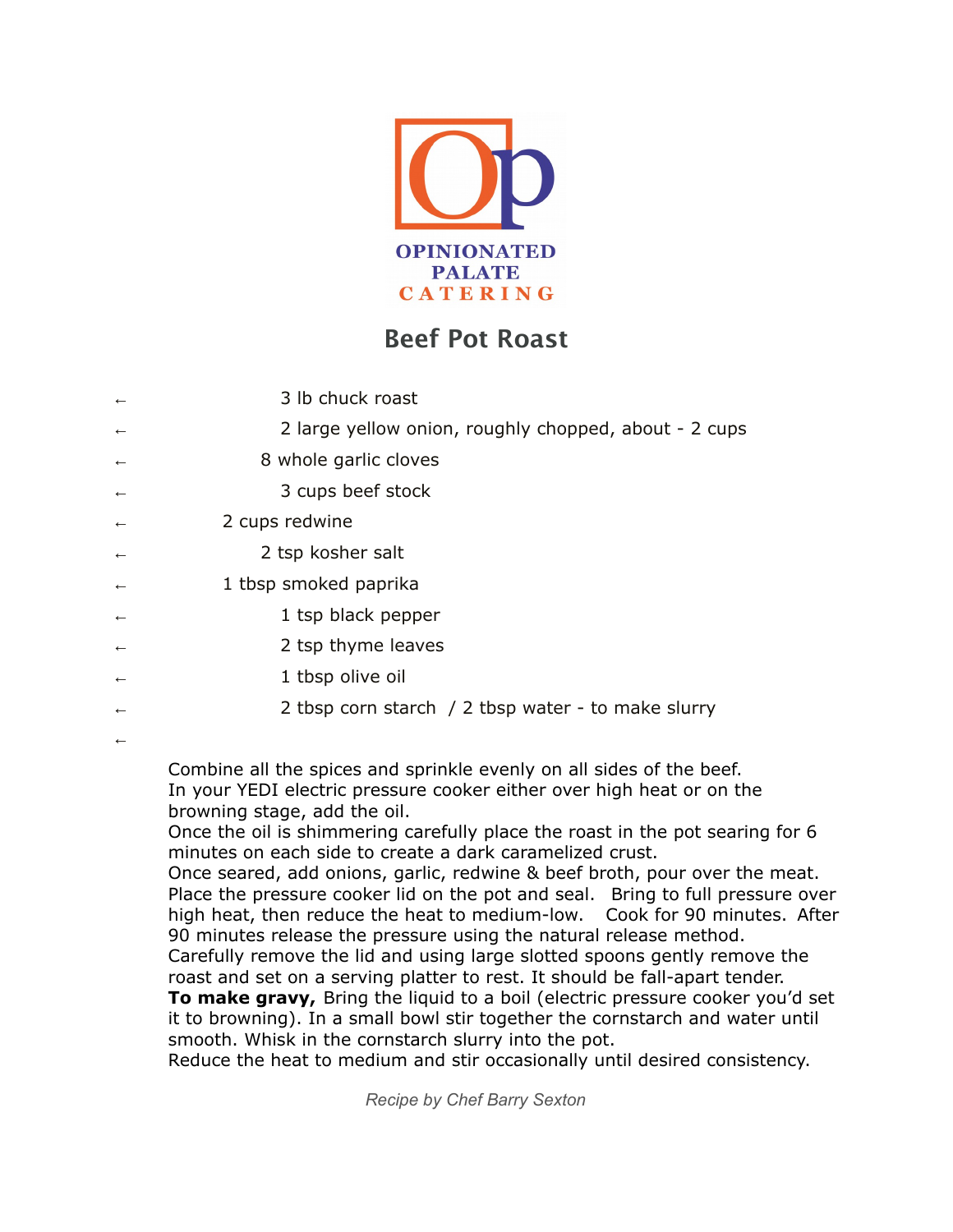

## **Beef Pot Roast**

| $\leftarrow$ | 3 lb chuck roast                                      |
|--------------|-------------------------------------------------------|
| $\leftarrow$ | 2 large yellow onion, roughly chopped, about - 2 cups |
| $\leftarrow$ | 8 whole garlic cloves                                 |
| $\leftarrow$ | 3 cups beef stock                                     |
| $\leftarrow$ | 2 cups redwine                                        |
| $\leftarrow$ | 2 tsp kosher salt                                     |
| $\leftarrow$ | 1 tbsp smoked paprika                                 |
| $\leftarrow$ | 1 tsp black pepper                                    |
| $\leftarrow$ | 2 tsp thyme leaves                                    |
| $\leftarrow$ | 1 tbsp olive oil                                      |
| $\leftarrow$ | 2 tbsp corn starch / 2 tbsp water - to make slurry    |
| $\leftarrow$ |                                                       |

Combine all the spices and sprinkle evenly on all sides of the beef. In your YEDI electric pressure cooker either over high heat or on the browning stage, add the oil.

Once the oil is shimmering carefully place the roast in the pot searing for 6 minutes on each side to create a dark caramelized crust.

Once seared, add onions, garlic, redwine & beef broth, pour over the meat. Place the pressure cooker lid on the pot and seal. Bring to full pressure over high heat, then reduce the heat to medium-low. Cook for 90 minutes. After 90 minutes release the pressure using the natural release method.

Carefully remove the lid and using large slotted spoons gently remove the roast and set on a serving platter to rest. It should be fall-apart tender.

**To make gravy,** Bring the liquid to a boil (electric pressure cooker you'd set it to browning). In a small bowl stir together the cornstarch and water until smooth. Whisk in the cornstarch slurry into the pot.

Reduce the heat to medium and stir occasionally until desired consistency.

*Recipe by Chef Barry Sexton*